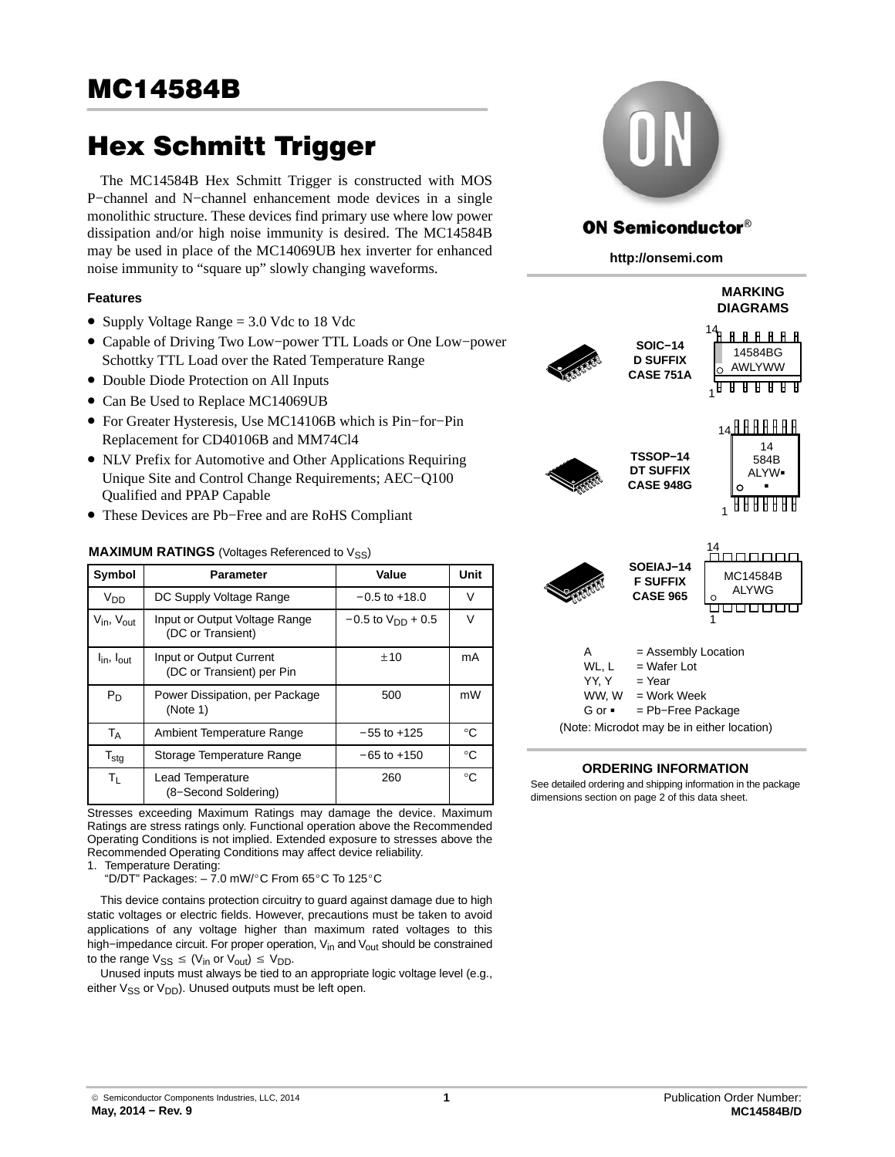The MC14584B Hex Schmitt Trigger is constructed with MOS P−channel and N−channel enhancement mode devices in a single monolithic structure. These devices find primary use where low power dissipation and/or high noise immunity is desired. The MC14584B may be used in place of the MC14069UB hex inverter for enhanced noise immunity to "square up" slowly changing waveforms.

## **Features**

- Supply Voltage Range = 3.0 Vdc to 18 Vdc
- Capable of Driving Two Low−power TTL Loads or One Low−power Schottky TTL Load over the Rated Temperature Range
- Double Diode Protection on All Inputs
- Can Be Used to Replace MC14069UB
- For Greater Hysteresis, Use MC14106B which is Pin−for−Pin Replacement for CD40106B and MM74Cl4
- NLV Prefix for Automotive and Other Applications Requiring Unique Site and Control Change Requirements; AEC−Q100 Qualified and PPAP Capable
- These Devices are Pb−Free and are RoHS Compliant

## **MAXIMUM RATINGS** (Voltages Referenced to V<sub>SS</sub>)

| Symbol                             | <b>Parameter</b>                                     | Value                    | Unit         |
|------------------------------------|------------------------------------------------------|--------------------------|--------------|
| $V_{DD}$                           | DC Supply Voltage Range                              | $-0.5$ to $+18.0$        | V            |
| $V_{\text{in}}$ , $V_{\text{out}}$ | Input or Output Voltage Range<br>(DC or Transient)   | $-0.5$ to $V_{DD}$ + 0.5 | $\vee$       |
| $I_{\text{in}}$ , $I_{\text{out}}$ | Input or Output Current<br>(DC or Transient) per Pin | ±10                      | mA           |
| $P_D$                              | Power Dissipation, per Package<br>(Note 1)           | 500                      | mW           |
| $T_A$                              | Ambient Temperature Range                            | $-55$ to $+125$          | $^{\circ}C$  |
| $\mathsf{T}_{\mathsf{stg}}$        | Storage Temperature Range                            | $-65$ to $+150$          | $^{\circ}C$  |
| $T_{L}$                            | Lead Temperature<br>(8-Second Soldering)             | 260                      | $^{\circ}$ C |

Stresses exceeding Maximum Ratings may damage the device. Maximum Ratings are stress ratings only. Functional operation above the Recommended Operating Conditions is not implied. Extended exposure to stresses above the Recommended Operating Conditions may affect device reliability.

1. Temperature Derating:

.cmpcrature Berating.<br>"D/DT" Packages: – 7.0 mW/°C From 65°C To 125°C

This device contains protection circuitry to guard against damage due to high static voltages or electric fields. However, precautions must be taken to avoid applications of any voltage higher than maximum rated voltages to this high–impedance circuit. For proper operation, V<sub>in</sub> and V<sub>out</sub> should be constrained to the range  $V_{SS} \leq (V_{in} \text{ or } V_{out}) \leq V_{DD}$ .

Unused inputs must always be tied to an appropriate logic voltage level (e.g., either  $V_{SS}$  or  $V_{DD}$ ). Unused outputs must be left open.



# **ON Semiconductor®**

**http://onsemi.com**

#### **MARKING DIAGRAMS** 14 <u>A A A A A A</u> **SOIC−14** 14584BG **D SUFFIX** AWLYWW **CASE 751A** 1 14 **R R R R R R R** 14 **TSSOP−14** 584B **DT SUFFIX** ALYW **CASE 948G**  $\blacksquare$  $\Omega$ <u>AAAAAAAA</u> 1 14 **SOEIAJ−14** MC14584B **F SUFFIX** ALYWG **CASE 965**  $\circ$

1

000000

| А                                          | $=$ Assembly Location |  |  |  |  |  |  |
|--------------------------------------------|-----------------------|--|--|--|--|--|--|
| WL, L                                      | $=$ Wafer Lot         |  |  |  |  |  |  |
| YY. Y                                      | $=$ Year              |  |  |  |  |  |  |
| WW. W                                      | $=$ Work Week         |  |  |  |  |  |  |
| Gor∎<br>$=$ Pb-Free Package                |                       |  |  |  |  |  |  |
| (Note: Microdot may be in either location) |                       |  |  |  |  |  |  |

## **ORDERING INFORMATION**

See detailed ordering and shipping information in the package dimensions section on page [2](#page-1-0) of this data sheet.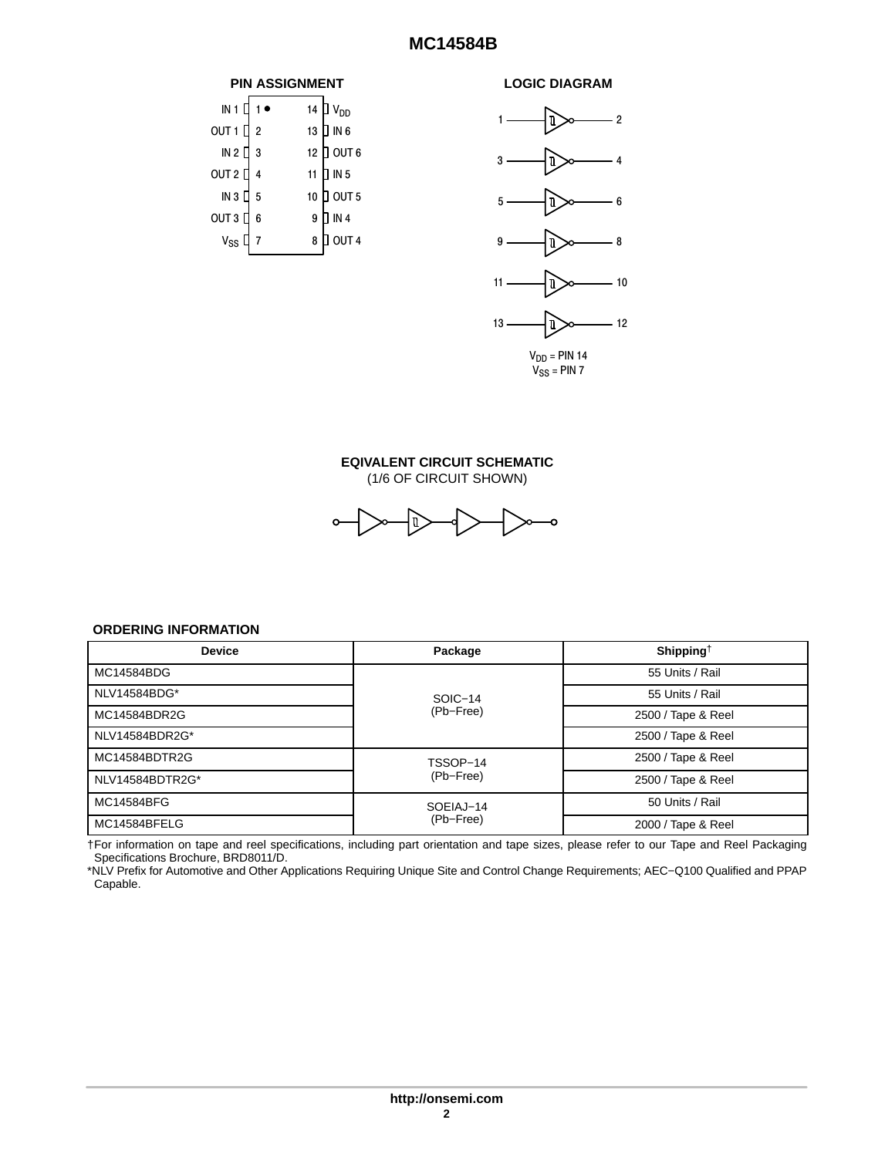## **MC14584B**

<span id="page-1-0"></span>



## **EQIVALENT CIRCUIT SCHEMATIC** (1/6 OF CIRCUIT SHOWN)



## **ORDERING INFORMATION**

| <b>Device</b>   | Package   | Shipping <sup>†</sup> |  |  |
|-----------------|-----------|-----------------------|--|--|
| MC14584BDG      |           | 55 Units / Rail       |  |  |
| NLV14584BDG*    | SOIC-14   | 55 Units / Rail       |  |  |
| MC14584BDR2G    | (Pb-Free) | 2500 / Tape & Reel    |  |  |
| NLV14584BDR2G*  |           | 2500 / Tape & Reel    |  |  |
| MC14584BDTR2G   | TSSOP-14  | 2500 / Tape & Reel    |  |  |
| NLV14584BDTR2G* | (Pb-Free) | 2500 / Tape & Reel    |  |  |
| MC14584BFG      | SOEIAJ-14 | 50 Units / Rail       |  |  |
| MC14584BFELG    | (Pb-Free) | 2000 / Tape & Reel    |  |  |

†For information on tape and reel specifications, including part orientation and tape sizes, please refer to our Tape and Reel Packaging Specifications Brochure, BRD8011/D.

\*NLV Prefix for Automotive and Other Applications Requiring Unique Site and Control Change Requirements; AEC−Q100 Qualified and PPAP Capable.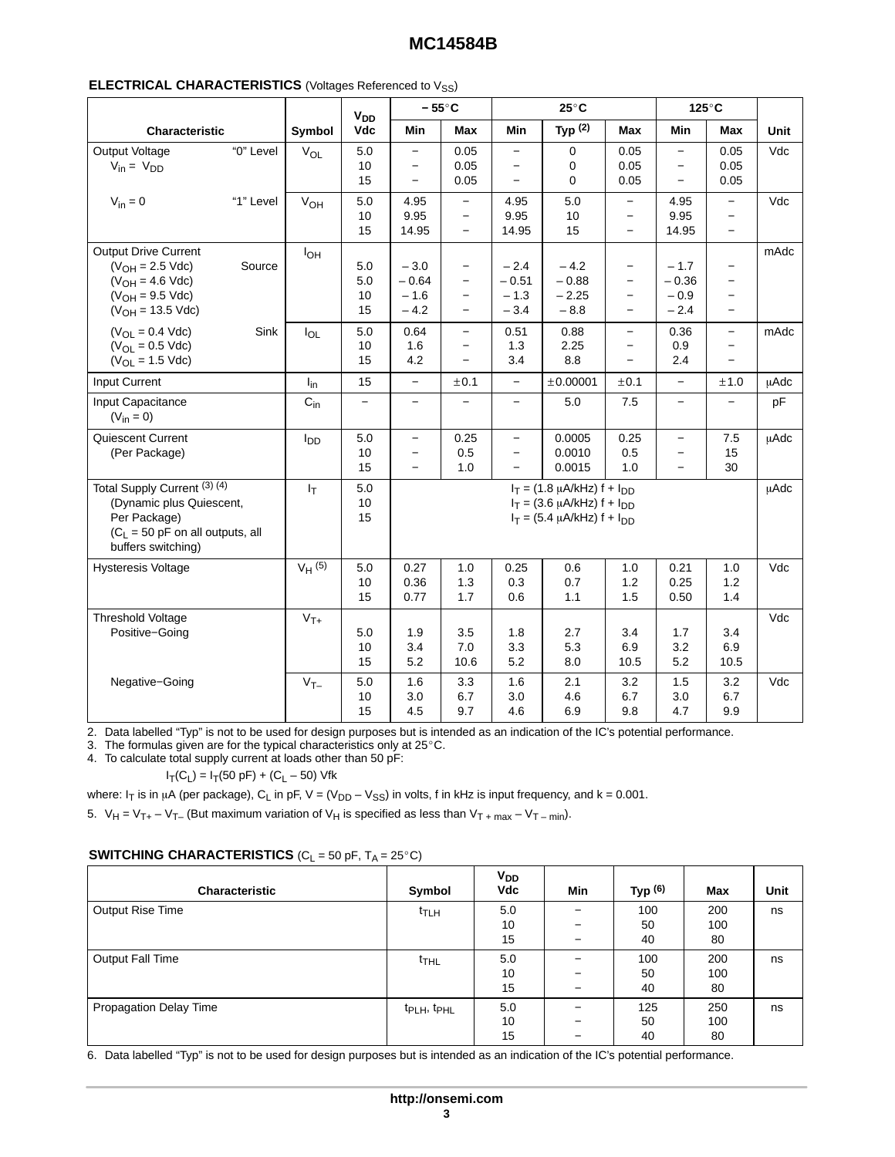# **MC14584B**

|                                                                                                                                      |                 | <b>V<sub>DD</sub></b>    |                                                                                  | $-55^{\circ}$ C                                                                                              |                                                                  | $25^{\circ}$ C                                                                                                 |                                                                                                              |                                                                                  | $125^{\circ}$ C                                                                         |             |
|--------------------------------------------------------------------------------------------------------------------------------------|-----------------|--------------------------|----------------------------------------------------------------------------------|--------------------------------------------------------------------------------------------------------------|------------------------------------------------------------------|----------------------------------------------------------------------------------------------------------------|--------------------------------------------------------------------------------------------------------------|----------------------------------------------------------------------------------|-----------------------------------------------------------------------------------------|-------------|
| <b>Characteristic</b>                                                                                                                | Symbol          | Vdc                      | Min                                                                              | Max                                                                                                          | <b>Min</b>                                                       | Typ $(2)$                                                                                                      | Max                                                                                                          | Min                                                                              | <b>Max</b>                                                                              | Unit        |
| Output Voltage<br>"0" Level<br>$V_{in} = V_{DD}$                                                                                     | $V_{OL}$        | 5.0<br>10<br>15          | $-$<br>$\overline{\phantom{m}}$<br>$\overline{\phantom{a}}$                      | 0.05<br>0.05<br>0.05                                                                                         | $\overline{\phantom{m}}$<br>$\overline{\phantom{m}}$<br>$\equiv$ | $\mathbf 0$<br>0<br>0                                                                                          | 0.05<br>0.05<br>0.05                                                                                         | $\overline{\phantom{a}}$<br>$\overline{\phantom{m}}$<br>$\overline{\phantom{0}}$ | 0.05<br>0.05<br>0.05                                                                    | Vdc         |
| "1" Level<br>$V_{in} = 0$                                                                                                            | V <sub>OH</sub> | 5.0<br>10<br>15          | 4.95<br>9.95<br>14.95                                                            | $-$<br>$-$<br>$\overline{\phantom{0}}$                                                                       | 4.95<br>9.95<br>14.95                                            | 5.0<br>10<br>15                                                                                                | $-$<br>$-$<br>$\overline{\phantom{0}}$                                                                       | 4.95<br>9.95<br>14.95                                                            | $\overline{\phantom{a}}$<br>$-$<br>$-$                                                  | Vdc         |
| Output Drive Current<br>$(V_{OH} = 2.5$ Vdc)<br>Source<br>$(V_{OH} = 4.6$ Vdc)<br>$(V_{OH} = 9.5$ Vdc)<br>$(V_{OH} = 13.5$ Vdc)      | $I_{OH}$        | 5.0<br>$5.0$<br>10<br>15 | $-3.0$<br>$-0.64$<br>$-1.6$<br>$-4.2$                                            | $\overline{\phantom{m}}$<br>$\overline{\phantom{m}}$<br>$\overline{\phantom{m}}$<br>$\overline{\phantom{m}}$ | $-2.4$<br>$-0.51$<br>$-1.3$<br>$-3.4$                            | $-4.2$<br>$-0.88$<br>$-2.25$<br>$-8.8$                                                                         | $\overline{\phantom{a}}$<br>$\overline{\phantom{a}}$<br>$\overline{\phantom{m}}$<br>$\overline{\phantom{0}}$ | $-1.7$<br>$-0.36$<br>$-0.9$<br>$-2.4$                                            | $\overline{\phantom{a}}$<br>$-$<br>$\overline{\phantom{0}}$<br>$\overline{\phantom{0}}$ | mAdc        |
| $(V_{OL} = 0.4$ Vdc)<br>Sink<br>$(V_{OL} = 0.5$ Vdc)<br>$(V_{OL} = 1.5$ Vdc)                                                         | $I_{OL}$        | 5.0<br>10<br>15          | 0.64<br>1.6<br>4.2                                                               | $-$<br>$\overline{\phantom{0}}$<br>$\overline{\phantom{0}}$                                                  | 0.51<br>1.3<br>3.4                                               | 0.88<br>2.25<br>8.8                                                                                            | $-$<br>$\overline{\phantom{a}}$<br>$\overline{\phantom{0}}$                                                  | 0.36<br>0.9<br>2.4                                                               | $-$<br>$-$<br>$\overline{a}$                                                            | mAdc        |
| Input Current                                                                                                                        | $I_{in}$        | 15                       | $-$                                                                              | ±0.1                                                                                                         | $\overline{\phantom{a}}$                                         | ±0.00001                                                                                                       | ±0.1                                                                                                         | $\overline{\phantom{0}}$                                                         | ±1.0                                                                                    | μAdc        |
| Input Capacitance<br>$(V_{in} = 0)$                                                                                                  | $C_{in}$        | $-$                      | $-$                                                                              | $\overline{\phantom{0}}$                                                                                     | $\equiv$                                                         | 5.0                                                                                                            | 7.5                                                                                                          | $-$                                                                              | $\overline{\phantom{a}}$                                                                | pF          |
| Quiescent Current<br>(Per Package)                                                                                                   | l <sub>DD</sub> | 5.0<br>10<br>15          | $\overline{\phantom{0}}$<br>$\overline{\phantom{0}}$<br>$\overline{\phantom{a}}$ | 0.25<br>0.5<br>1.0                                                                                           | $\overline{\phantom{m}}$<br>$\overline{\phantom{m}}$<br>$\equiv$ | 0.0005<br>0.0010<br>0.0015                                                                                     | 0.25<br>0.5<br>1.0                                                                                           | $\overline{\phantom{m}}$<br>$\overline{\phantom{m}}$<br>$\equiv$                 | 7.5<br>15<br>30                                                                         | uAdc        |
| Total Supply Current (3) (4)<br>(Dynamic plus Quiescent,<br>Per Package)<br>$(C_L = 50$ pF on all outputs, all<br>buffers switching) | $I_T$           | 5.0<br>10<br>15          |                                                                                  |                                                                                                              |                                                                  | $I_T = (1.8 \mu A/kHz) f + I_{DD}$<br>$I_T = (3.6 \mu A/kHz) f + I_{DD}$<br>$I_T = (5.4 \mu A/kHz) f + I_{DD}$ |                                                                                                              |                                                                                  |                                                                                         | <b>µAdc</b> |
| <b>Hysteresis Voltage</b>                                                                                                            | $V_H$ (5)       | 5.0<br>10<br>15          | 0.27<br>0.36<br>0.77                                                             | 1.0<br>1.3<br>1.7                                                                                            | 0.25<br>0.3<br>0.6                                               | 0.6<br>0.7<br>1.1                                                                                              | 1.0<br>$1.2$<br>1.5                                                                                          | 0.21<br>0.25<br>0.50                                                             | 1.0<br>1.2<br>1.4                                                                       | Vdc         |
| Threshold Voltage<br>Positive-Going                                                                                                  | $V_{T+}$        | 5.0<br>10<br>15          | 1.9<br>3.4<br>5.2                                                                | 3.5<br>7.0<br>10.6                                                                                           | 1.8<br>3.3<br>5.2                                                | 2.7<br>5.3<br>8.0                                                                                              | 3.4<br>6.9<br>10.5                                                                                           | 1.7<br>3.2<br>5.2                                                                | 3.4<br>6.9<br>10.5                                                                      | Vdc         |
| Negative-Going                                                                                                                       | $V_{T-}$        | 5.0<br>10<br>15          | 1.6<br>3.0<br>4.5                                                                | 3.3<br>6.7<br>9.7                                                                                            | 1.6<br>3.0<br>4.6                                                | 2.1<br>4.6<br>6.9                                                                                              | 3.2<br>6.7<br>9.8                                                                                            | 1.5<br>3.0<br>4.7                                                                | 3.2<br>6.7<br>9.9                                                                       | Vdc         |

2. Data labelled "Typ" is not to be used for design purposes but is intended as an indication of the IC's potential performance.

2. Bala labelled Typ Ts hot to be used for design purposes but is interest.<br>3. The formulas given are for the typical characteristics only at 25°C.

4. To calculate total supply current at loads other than 50 pF:

 $I_T(C_L) = I_T(50 \text{ pF}) + (C_L - 50) \text{ Vfk}$ 

where: I<sub>T</sub> is in  $\mu$ A (per package), C<sub>L</sub> in pF, V = (V<sub>DD</sub> – V<sub>SS</sub>) in volts, f in kHz is input frequency, and k = 0.001.

5.  $V_H = V_{T+} - V_{T-}$  (But maximum variation of  $V_H$  is specified as less than  $V_{T+max} - V_{T-min}$ ).

| Characteristic         | Symbol                              | $V_{DD}$<br>Vdc | Min | Typ $(6)$ | Max | Unit |
|------------------------|-------------------------------------|-----------------|-----|-----------|-----|------|
| Output Rise Time       | <sup>t</sup> TLH                    | 5.0             | -   | 100       | 200 | ns   |
|                        |                                     | 10              | -   | 50        | 100 |      |
|                        |                                     | 15              | -   | 40        | 80  |      |
| Output Fall Time       | t <sub>THL</sub>                    | 5.0             | -   | 100       | 200 | ns   |
|                        |                                     | 10              | -   | 50        | 100 |      |
|                        |                                     | 15              | -   | 40        | 80  |      |
| Propagation Delay Time | t <sub>PLH</sub> , t <sub>PHL</sub> | 5.0             | -   | 125       | 250 | ns   |
|                        |                                     | 10              | -   | 50        | 100 |      |
|                        |                                     | 15              | -   | 40        | 80  |      |

6. Data labelled "Typ" is not to be used for design purposes but is intended as an indication of the IC's potential performance.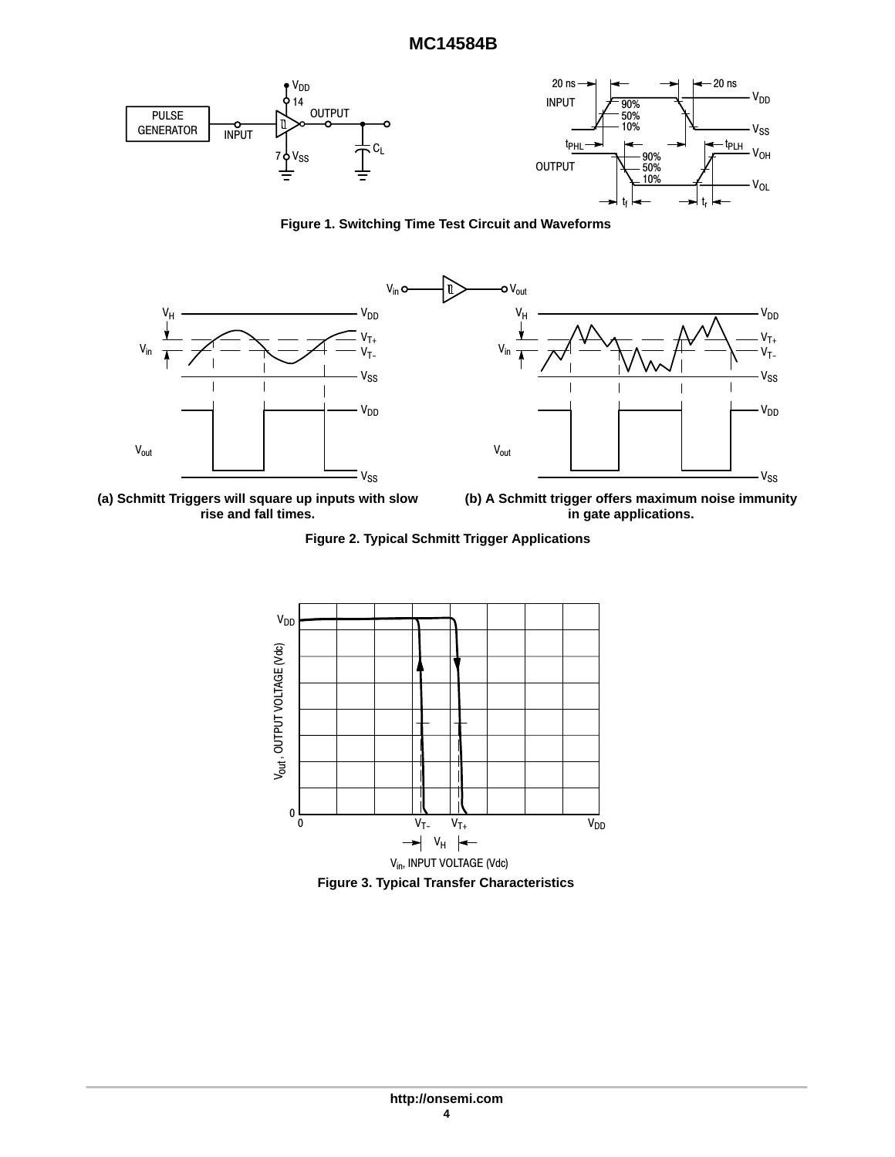## **MC14584B**



**Figure 1. Switching Time Test Circuit and Waveforms**



**(a) Schmitt Triggers will square up inputs with slow rise and fall times.**

**(b) A Schmitt trigger offers maximum noise immunity in gate applications.**

**Figure 2. Typical Schmitt Trigger Applications**



**Figure 3. Typical Transfer Characteristics**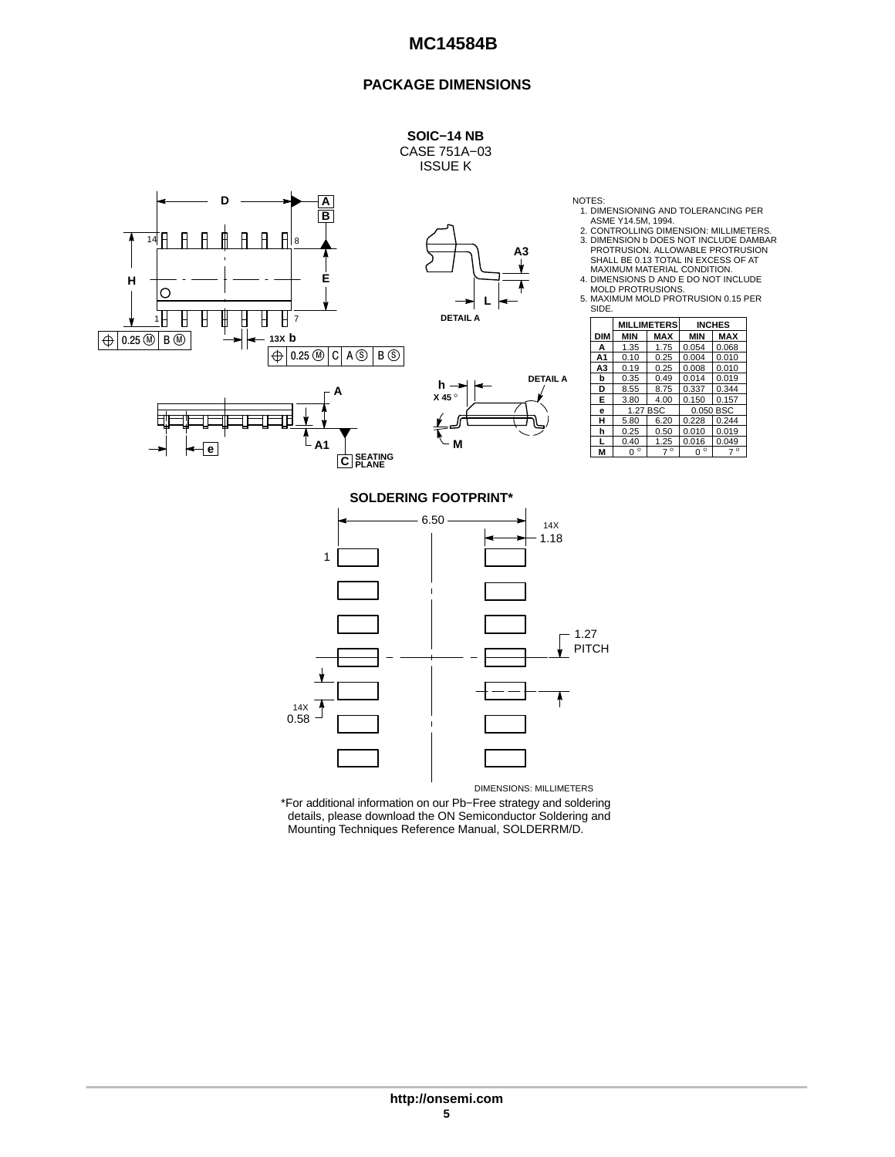## **PACKAGE DIMENSIONS**





\*For additional information on our Pb−Free strategy and soldering details, please download the ON Semiconductor Soldering and Mounting Techniques Reference Manual, SOLDERRM/D.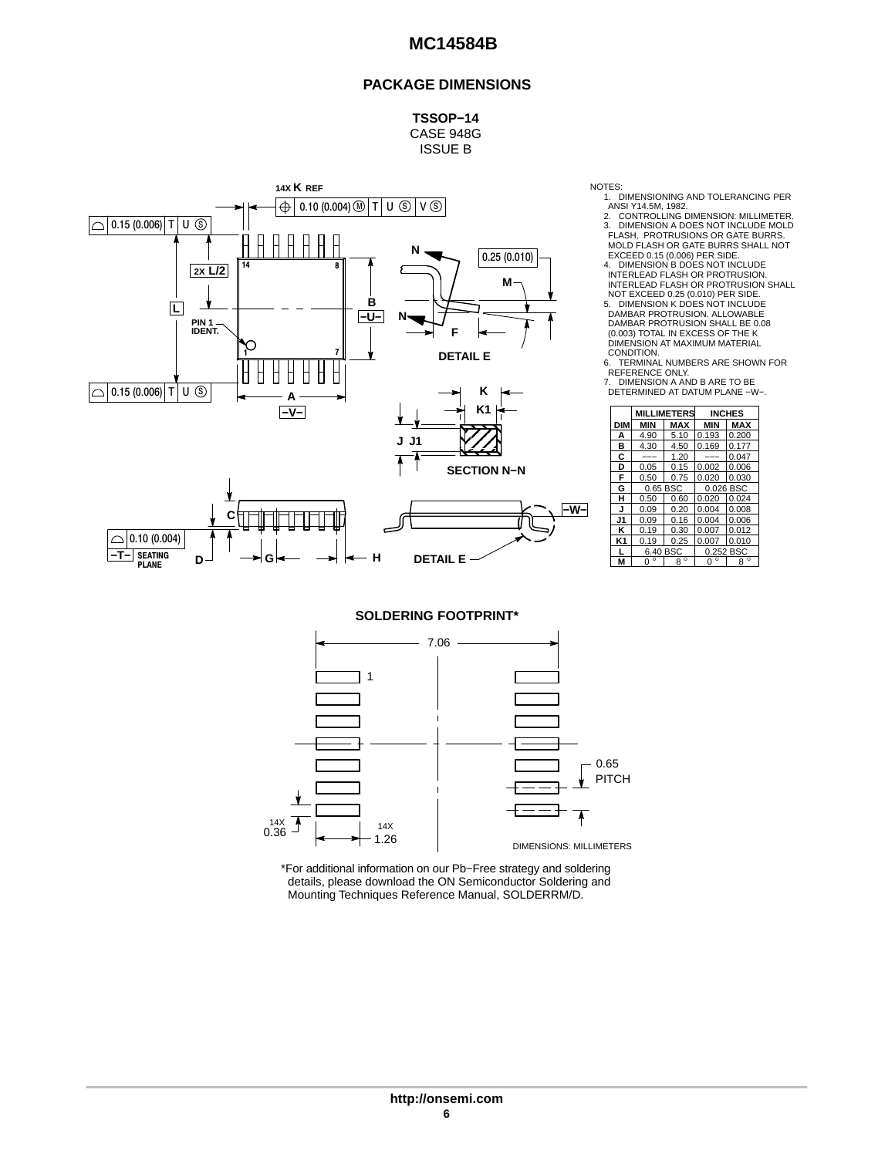## **PACKAGE DIMENSIONS**

**TSSOP−14** CASE 948G ISSUE B



NOTES: 1. DIMENSIONING AND TOLERANCING PER ANSI Y14.5M, 1982.

2. CONTROLLING DIMENSION: MILLIMETER. 3. DIMENSION A DOES NOT INCLUDE MOLD FLASH, PROTRUSIONS OR GATE BURRS. MOLD FLASH OR GATE BURRS SHALL NOT EXCEED 0.15 (0.006) PER SIDE.

4. DIMENSION B DOES NOT INCLUDE INTERLEAD FLASH OR PROTRUSION. INTERLEAD FLASH OR PROTRUSION SHALL NOT EXCEED 0.25 (0.010) PER SIDE. 5. DIMENSION K DOES NOT INCLUDE DAMBAR PROTRUSION. ALLOWABLE DAMBAR PROTRUSION SHALL BE 0.08 (0.003) TOTAL IN EXCESS OF THE K

DIMENSION AT MAXIMUM MATERIAL<br>CONDITION.

CONDITION.<br>6. TERMINAL NUMBERS ARE SHOWN FOR<br>REFERENCE ONLY.<br>7. DIMENSION A AND B ARE TO BE<br>DETERMINED AT DATUM PLANE −W−.

| K1                 |                |              | <b>MILLIMETERS</b> | <b>INCHES</b> |             |  |
|--------------------|----------------|--------------|--------------------|---------------|-------------|--|
|                    | <b>DIM</b>     | MIN          | <b>MAX</b>         | <b>MIN</b>    | <b>MAX</b>  |  |
|                    | А              | 4.90         | 5.10               | 0.193         | 0.200       |  |
|                    | в              | 4.30         | 4.50               | 0.169         | 0.177       |  |
|                    | c              | ---          | 1.20               | ---           | 0.047       |  |
| <b>SECTION N-N</b> | D              | 0.05         | 0.15               | 0.002         | 0.006       |  |
|                    | F              | 0.50         | 0.75               | 0.020         | 0.030       |  |
|                    | G              | 0.65 BSC     |                    |               | 0.026 BSC   |  |
|                    | н              | 0.50         | 0.60               | 0.020         | 0.024       |  |
| -W-l               | J              | 0.09         | 0.20               | 0.004         | 0.008       |  |
|                    | J1             | 0.09         | 0.16               | 0.004         | 0.006       |  |
|                    | κ              | 0.19         | 0.30               | 0.007         | 0.012       |  |
|                    | K <sub>1</sub> | 0.19         | 0.25               | 0.007         | 0.010       |  |
|                    |                | 6.40 BSC     |                    |               | 0.252 BSC   |  |
| ΙF                 | M              | $\circ$<br>O | $8^{\circ}$        | $0^{\circ}$   | $8^{\circ}$ |  |
|                    |                |              |                    |               |             |  |

**SOLDERING FOOTPRINT\***